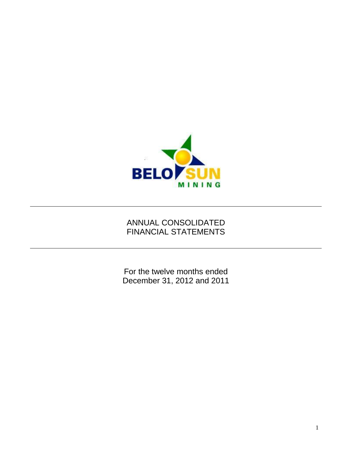

# ANNUAL CONSOLIDATED FINANCIAL STATEMENTS

For the twelve months ended December 31, 2012 and 2011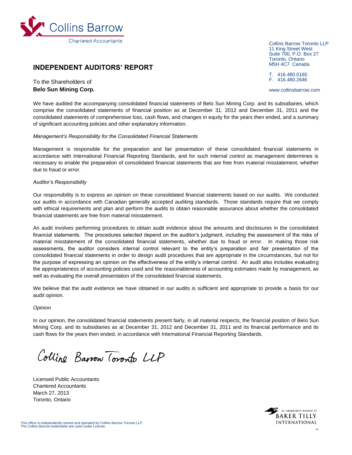

## **INDEPENDENT AUDITORS' REPORT**

To the Shareholders of **Belo Sun Mining Corp.** Collins Barrow Toronto LLP 11 King Street West Suite 700, P.O. Box 27 Toronto, Ontario M5H 4C7 Canada

T. 416.480.0160 F. 416.480.2646

www.collinsbarrow.com

We have audited the accompanying consolidated financial statements of Belo Sun Mining Corp. and its subsidiaries, which comprise the consolidated statements of financial position as at December 31, 2012 and December 31, 2011 and the consolidated statements of comprehensive loss, cash flows, and changes in equity for the years then ended, and a summary of significant accounting policies and other explanatory information.

#### *Management's Responsibility for the Consolidated Financial Statements*

Management is responsible for the preparation and fair presentation of these consolidated financial statements in accordance with International Financial Reporting Standards, and for such internal control as management determines is necessary to enable the preparation of consolidated financial statements that are free from material misstatement, whether due to fraud or error.

#### *Auditor's Responsibility*

Our responsibility is to express an opinion on these consolidated financial statements based on our audits. We conducted our audits in accordance with Canadian generally accepted auditing standards. Those standards require that we comply with ethical requirements and plan and perform the audits to obtain reasonable assurance about whether the consolidated financial statements are free from material misstatement.

An audit involves performing procedures to obtain audit evidence about the amounts and disclosures in the consolidated financial statements. The procedures selected depend on the auditor's judgment, including the assessment of the risks of material misstatement of the consolidated financial statements, whether due to fraud or error. In making those risk assessments, the auditor considers internal control relevant to the entity's preparation and fair presentation of the consolidated financial statements in order to design audit procedures that are appropriate in the circumstances, but not for the purpose of expressing an opinion on the effectiveness of the entity's internal control. An audit also includes evaluating the appropriateness of accounting policies used and the reasonableness of accounting estimates made by management, as well as evaluating the overall presentation of the consolidated financial statements.

We believe that the audit evidence we have obtained in our audits is sufficient and appropriate to provide a basis for our audit opinion.

#### *Opinion*

In our opinion, the consolidated financial statements present fairly, in all material respects, the financial position of Belo Sun Mining Corp. and its subsidiaries as at December 31, 2012 and December 31, 2011 and its financial performance and its cash flows for the years then ended, in accordance with International Financial Reporting Standards.

Colline Barrow Toronto LLP

Licensed Public Accountants Chartered Accountants March 27, 2013 Toronto, Ontario

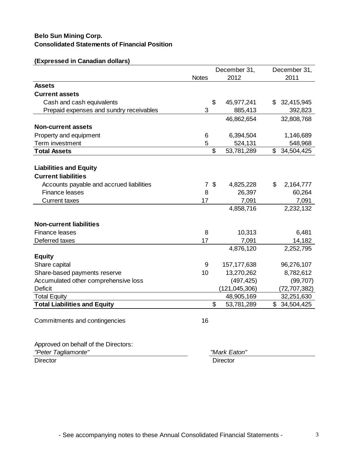## **Consolidated Statements of Financial Position Belo Sun Mining Corp.**

## **(Expressed in Canadian dollars)**

|                                          |                          | December 31,    |                  |
|------------------------------------------|--------------------------|-----------------|------------------|
|                                          | <b>Notes</b>             | 2012            | 2011             |
| <b>Assets</b>                            |                          |                 |                  |
| <b>Current assets</b>                    |                          |                 |                  |
| Cash and cash equivalents                | \$                       | 45,977,241      | 32,415,945<br>\$ |
| Prepaid expenses and sundry receivables  | 3                        | 885,413         | 392,823          |
|                                          |                          | 46,862,654      | 32,808,768       |
| <b>Non-current assets</b>                |                          |                 |                  |
| Property and equipment                   | 6                        | 6,394,504       | 1,146,689        |
| Term investment                          | 5                        | 524,131         | 548,968          |
| <b>Total Assets</b>                      | $\overline{\mathcal{S}}$ | 53,781,289      | \$34,504,425     |
| <b>Liabilities and Equity</b>            |                          |                 |                  |
| <b>Current liabilities</b>               |                          |                 |                  |
| Accounts payable and accrued liabilities | \$<br>7                  | 4,825,228       | \$<br>2,164,777  |
| <b>Finance leases</b>                    | 8                        | 26,397          | 60,264           |
| <b>Current taxes</b>                     | 17                       | 7,091           | 7,091            |
|                                          |                          | 4,858,716       | 2,232,132        |
| <b>Non-current liabilities</b>           |                          |                 |                  |
| Finance leases                           | 8                        | 10,313          | 6,481            |
| Deferred taxes                           | 17                       | 7,091           | 14,182           |
|                                          |                          | 4,876,120       | 2,252,795        |
| <b>Equity</b>                            |                          |                 |                  |
| Share capital                            | 9                        | 157, 177, 638   | 96,276,107       |
| Share-based payments reserve             | 10                       | 13,270,262      | 8,782,612        |
| Accumulated other comprehensive loss     |                          | (497, 425)      | (99, 707)        |
| <b>Deficit</b>                           |                          | (121, 045, 306) | (72, 707, 382)   |
| <b>Total Equity</b>                      |                          | 48,905,169      | 32,251,630       |
| <b>Total Liabilities and Equity</b>      | \$                       | 53,781,289      | \$34,504,425     |
| Commitments and contingencies            | 16                       |                 |                  |
|                                          |                          |                 |                  |
| Approved on behalf of the Directors:     |                          |                 |                  |
| "Peter Tagliamonte"                      |                          | "Mark Eaton"    |                  |
| <b>Director</b>                          |                          | Director        |                  |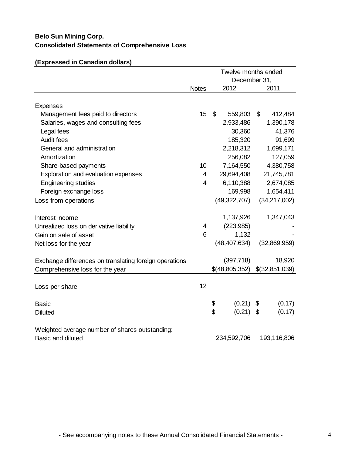## **Consolidated Statements of Comprehensive Loss Belo Sun Mining Corp.**

## **(Expressed in Canadian dollars)**

|                                                        | Twelve months ended |                           |                |  |  |  |
|--------------------------------------------------------|---------------------|---------------------------|----------------|--|--|--|
|                                                        |                     | December 31,              |                |  |  |  |
|                                                        | <b>Notes</b>        | 2012                      | 2011           |  |  |  |
| <b>Expenses</b>                                        |                     |                           |                |  |  |  |
| Management fees paid to directors                      | 15                  | $\mathfrak{P}$<br>559,803 | \$<br>412,484  |  |  |  |
| Salaries, wages and consulting fees                    |                     | 2,933,486                 | 1,390,178      |  |  |  |
| Legal fees                                             |                     | 30,360                    | 41,376         |  |  |  |
| Audit fees                                             |                     | 185,320                   | 91,699         |  |  |  |
| General and administration                             |                     | 2,218,312                 | 1,699,171      |  |  |  |
| Amortization                                           |                     | 256,082                   | 127,059        |  |  |  |
| Share-based payments                                   | 10                  | 7,164,550                 | 4,380,758      |  |  |  |
| Exploration and evaluation expenses                    | 4                   | 29,694,408                | 21,745,781     |  |  |  |
| <b>Engineering studies</b>                             | 4                   | 6,110,388                 | 2,674,085      |  |  |  |
| Foreign exchange loss                                  |                     | 169,998                   | 1,654,411      |  |  |  |
| Loss from operations                                   |                     | (49, 322, 707)            | (34, 217, 002) |  |  |  |
|                                                        |                     |                           |                |  |  |  |
| Interest income                                        |                     | 1,137,926                 | 1,347,043      |  |  |  |
| Unrealized loss on derivative liability                | 4                   | (223, 985)                |                |  |  |  |
| Gain on sale of asset                                  | 6                   | 1,132                     |                |  |  |  |
| Net loss for the year                                  |                     | (48, 407, 634)            | (32,869,959)   |  |  |  |
| Exchange differences on translating foreign operations |                     | (397, 718)                | 18,920         |  |  |  |
| Comprehensive loss for the year                        |                     | \$(48,805,352)            | \$(32,851,039) |  |  |  |
|                                                        |                     |                           |                |  |  |  |
| Loss per share                                         | 12                  |                           |                |  |  |  |
|                                                        |                     |                           |                |  |  |  |
| <b>Basic</b>                                           |                     | (0.21)<br>\$              | (0.17)<br>\$   |  |  |  |
| <b>Diluted</b>                                         |                     | \$<br>$(0.21)$ \$         | (0.17)         |  |  |  |
| Weighted average number of shares outstanding:         |                     |                           |                |  |  |  |
| Basic and diluted                                      |                     | 234,592,706               | 193,116,806    |  |  |  |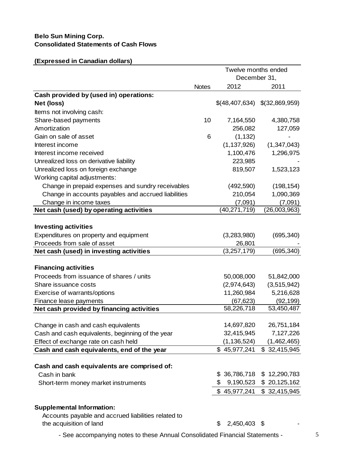## **Consolidated Statements of Cash Flows Belo Sun Mining Corp.**

## **(Expressed in Canadian dollars)**

|                                                     | Twelve months ended |                    |                                 |  |  |
|-----------------------------------------------------|---------------------|--------------------|---------------------------------|--|--|
|                                                     |                     | December 31,       |                                 |  |  |
|                                                     | <b>Notes</b>        | 2012               | 2011                            |  |  |
| Cash provided by (used in) operations:              |                     |                    |                                 |  |  |
| Net (loss)                                          |                     |                    | $$(48,407,634)$ $$(32,869,959)$ |  |  |
| Items not involving cash:                           |                     |                    |                                 |  |  |
| Share-based payments                                | 10                  | 7,164,550          | 4,380,758                       |  |  |
| Amortization                                        |                     | 256,082            | 127,059                         |  |  |
| Gain on sale of asset                               | 6                   | (1, 132)           |                                 |  |  |
| Interest income                                     |                     | (1, 137, 926)      | (1,347,043)                     |  |  |
| Interest income received                            |                     | 1,100,476          | 1,296,975                       |  |  |
| Unrealized loss on derivative liability             |                     | 223,985            |                                 |  |  |
| Unrealized loss on foreign exchange                 |                     | 819,507            | 1,523,123                       |  |  |
| Working capital adjustments:                        |                     |                    |                                 |  |  |
| Change in prepaid expenses and sundry receivables   |                     | (492, 590)         | (198, 154)                      |  |  |
| Change in accounts payables and accrued liabilities |                     | 210,054            | 1,090,369                       |  |  |
| Change in income taxes                              |                     | (7,091)            | (7,091)                         |  |  |
| Net cash (used) by operating activities             |                     | (40, 271, 719)     | (26,003,963)                    |  |  |
|                                                     |                     |                    |                                 |  |  |
| <b>Investing activities</b>                         |                     |                    |                                 |  |  |
| Expenditures on property and equipment              |                     | (3,283,980)        | (695, 340)                      |  |  |
| Proceeds from sale of asset                         |                     | 26,801             |                                 |  |  |
| Net cash (used) in investing activities             |                     | (3, 257, 179)      | (695, 340)                      |  |  |
|                                                     |                     |                    |                                 |  |  |
| <b>Financing activities</b>                         |                     |                    |                                 |  |  |
| Proceeds from issuance of shares / units            |                     | 50,008,000         | 51,842,000                      |  |  |
| Share issuance costs                                |                     | (2,974,643)        | (3,515,942)                     |  |  |
| Exercise of warrants/options                        |                     | 11,260,984         | 5,216,628                       |  |  |
| Finance lease payments                              |                     | (67, 623)          | (92, 199)                       |  |  |
| Net cash provided by financing activities           |                     | 58,226,718         | 53,450,487                      |  |  |
|                                                     |                     |                    |                                 |  |  |
| Change in cash and cash equivalents                 |                     | 14,697,820         | 26,751,184                      |  |  |
| Cash and cash equivalents, beginning of the year    |                     | 32,415,945         | 7,127,226                       |  |  |
| Effect of exchange rate on cash held                |                     | (1, 136, 524)      | (1,462,465)                     |  |  |
| Cash and cash equivalents, end of the year          |                     | \$45,977,241       | \$32,415,945                    |  |  |
|                                                     |                     |                    |                                 |  |  |
| Cash and cash equivalents are comprised of:         |                     |                    |                                 |  |  |
| Cash in bank                                        |                     | 36,786,718<br>S.   | \$12,290,783                    |  |  |
| Short-term money market instruments                 |                     | 9,190,523<br>\$.   | \$20,125,162                    |  |  |
|                                                     |                     | \$45,977,241       | \$32,415,945                    |  |  |
|                                                     |                     |                    |                                 |  |  |
| <b>Supplemental Information:</b>                    |                     |                    |                                 |  |  |
| Accounts payable and accrued liabilities related to |                     |                    |                                 |  |  |
| the acquisition of land                             |                     | 2,450,403 \$<br>\$ |                                 |  |  |

- See accompanying notes to these Annual Consolidated Financial Statements - 5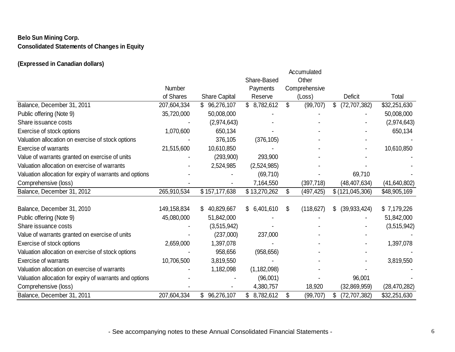## **Belo Sun Mining Corp. Consolidated Statements of Changes in Equity**

## **(Expressed in Canadian dollars)**

|                                                         |             |                      | Accumulated   |    |               |                      |                |  |  |
|---------------------------------------------------------|-------------|----------------------|---------------|----|---------------|----------------------|----------------|--|--|
|                                                         |             |                      | Share-Based   |    | Other         |                      |                |  |  |
|                                                         | Number      |                      | Payments      |    | Comprehensive |                      |                |  |  |
|                                                         | of Shares   | <b>Share Capital</b> | Reserve       |    | (Loss)        | <b>Deficit</b>       | Total          |  |  |
| Balance, December 31, 2011                              | 207,604,334 | \$96,276,107         | \$8,782,612   | \$ | (99, 707)     | (72, 707, 382)<br>\$ | \$32,251,630   |  |  |
| Public offering (Note 9)                                | 35,720,000  | 50,008,000           |               |    |               |                      | 50,008,000     |  |  |
| Share issuance costs                                    |             | (2,974,643)          |               |    |               |                      | (2,974,643)    |  |  |
| Exercise of stock options                               | 1,070,600   | 650,134              |               |    |               |                      | 650,134        |  |  |
| Valuation allocation on exercise of stock options       |             | 376,105              | (376, 105)    |    |               |                      |                |  |  |
| Exercise of warrants                                    | 21,515,600  | 10,610,850           |               |    |               |                      | 10,610,850     |  |  |
| Value of warrants granted on exercise of units          |             | (293,900)            | 293,900       |    |               |                      |                |  |  |
| Valuation allocation on exercise of warrants            |             | 2,524,985            | (2,524,985)   |    |               |                      |                |  |  |
| Valuation allocation for expiry of warrants and options |             |                      | (69, 710)     |    |               | 69,710               |                |  |  |
| Comprehensive (loss)                                    |             |                      | 7,164,550     |    | (397, 718)    | (48, 407, 634)       | (41, 640, 802) |  |  |
| Balance, December 31, 2012                              | 265,910,534 | \$157,177,638        | \$13,270,262  | \$ | (497, 425)    | \$(121, 045, 306)    | \$48,905,169   |  |  |
|                                                         |             |                      |               |    |               |                      |                |  |  |
| Balance, December 31, 2010                              | 149,158,834 | 40,829,667           | \$6,401,610   | S. | (118, 627)    | S<br>(39, 933, 424)  | \$7,179,226    |  |  |
| Public offering (Note 9)                                | 45,080,000  | 51,842,000           |               |    |               |                      | 51,842,000     |  |  |
| Share issuance costs                                    |             | (3,515,942)          |               |    |               |                      | (3,515,942)    |  |  |
| Value of warrants granted on exercise of units          |             | (237,000)            | 237,000       |    |               |                      |                |  |  |
| Exercise of stock options                               | 2,659,000   | 1,397,078            |               |    |               |                      | 1,397,078      |  |  |
| Valuation allocation on exercise of stock options       |             | 958,656              | (958, 656)    |    |               |                      |                |  |  |
| <b>Exercise of warrants</b>                             | 10,706,500  | 3,819,550            |               |    |               |                      | 3,819,550      |  |  |
| Valuation allocation on exercise of warrants            |             | 1,182,098            | (1, 182, 098) |    |               |                      |                |  |  |
| Valuation allocation for expiry of warrants and options |             |                      | (96,001)      |    |               | 96,001               |                |  |  |
| Comprehensive (loss)                                    |             |                      | 4,380,757     |    | 18,920        | (32,869,959)         | (28, 470, 282) |  |  |
| Balance, December 31, 2011                              | 207,604,334 | 96,276,107<br>\$     | \$8,782,612   | \$ | (99, 707)     | (72, 707, 382)<br>\$ | \$32,251,630   |  |  |

- See accompanying notes to these Annual Consolidated Financial Statements -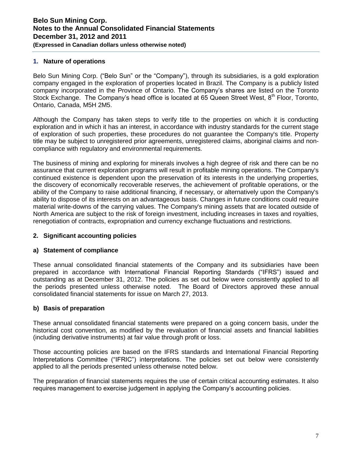## **1. Nature of operations**

Belo Sun Mining Corp. ("Belo Sun" or the "Company"), through its subsidiaries, is a gold exploration company engaged in the exploration of properties located in Brazil. The Company is a publicly listed company incorporated in the Province of Ontario. The Company's shares are listed on the Toronto Stock Exchange. The Company's head office is located at 65 Queen Street West, 8<sup>th</sup> Floor, Toronto, Ontario, Canada, M5H 2M5.

Although the Company has taken steps to verify title to the properties on which it is conducting exploration and in which it has an interest, in accordance with industry standards for the current stage of exploration of such properties, these procedures do not guarantee the Company's title. Property title may be subject to unregistered prior agreements, unregistered claims, aboriginal claims and noncompliance with regulatory and environmental requirements.

The business of mining and exploring for minerals involves a high degree of risk and there can be no assurance that current exploration programs will result in profitable mining operations. The Company's continued existence is dependent upon the preservation of its interests in the underlying properties, the discovery of economically recoverable reserves, the achievement of profitable operations, or the ability of the Company to raise additional financing, if necessary, or alternatively upon the Company's ability to dispose of its interests on an advantageous basis. Changes in future conditions could require material write-downs of the carrying values. The Company's mining assets that are located outside of North America are subject to the risk of foreign investment, including increases in taxes and royalties, renegotiation of contracts, expropriation and currency exchange fluctuations and restrictions.

## **2. Significant accounting policies**

### **a) Statement of compliance**

These annual consolidated financial statements of the Company and its subsidiaries have been prepared in accordance with International Financial Reporting Standards ("IFRS") issued and outstanding as at December 31, 2012. The policies as set out below were consistently applied to all the periods presented unless otherwise noted. The Board of Directors approved these annual consolidated financial statements for issue on March 27, 2013.

## **b) Basis of preparation**

These annual consolidated financial statements were prepared on a going concern basis, under the historical cost convention, as modified by the revaluation of financial assets and financial liabilities (including derivative instruments) at fair value through profit or loss.

Those accounting policies are based on the IFRS standards and International Financial Reporting Interpretations Committee ("IFRIC") interpretations. The policies set out below were consistently applied to all the periods presented unless otherwise noted below.

The preparation of financial statements requires the use of certain critical accounting estimates. It also requires management to exercise judgement in applying the Company's accounting policies.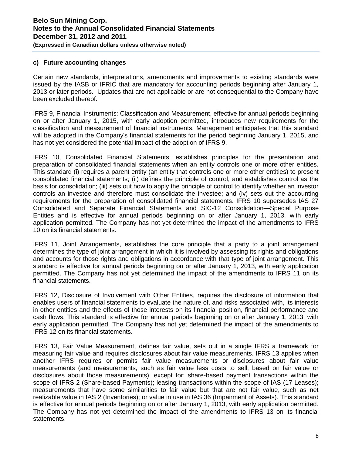## **c) Future accounting changes**

Certain new standards, interpretations, amendments and improvements to existing standards were issued by the IASB or IFRIC that are mandatory for accounting periods beginning after January 1, 2013 or later periods. Updates that are not applicable or are not consequential to the Company have been excluded thereof.

IFRS 9, Financial Instruments: Classification and Measurement, effective for annual periods beginning on or after January 1, 2015, with early adoption permitted, introduces new requirements for the classification and measurement of financial instruments. Management anticipates that this standard will be adopted in the Company's financial statements for the period beginning January 1, 2015, and has not yet considered the potential impact of the adoption of IFRS 9.

IFRS 10, Consolidated Financial Statements, establishes principles for the presentation and preparation of consolidated financial statements when an entity controls one or more other entities. This standard (i) requires a parent entity (an entity that controls one or more other entities) to present consolidated financial statements; (ii) defines the principle of control, and establishes control as the basis for consolidation; (iii) sets out how to apply the principle of control to identify whether an investor controls an investee and therefore must consolidate the investee; and (iv) sets out the accounting requirements for the preparation of consolidated financial statements. IFRS 10 supersedes IAS 27 Consolidated and Separate Financial Statements and SIC-12 Consolidation—Special Purpose Entities and is effective for annual periods beginning on or after January 1, 2013, with early application permitted. The Company has not yet determined the impact of the amendments to IFRS 10 on its financial statements.

IFRS 11, Joint Arrangements, establishes the core principle that a party to a joint arrangement determines the type of joint arrangement in which it is involved by assessing its rights and obligations and accounts for those rights and obligations in accordance with that type of joint arrangement. This standard is effective for annual periods beginning on or after January 1, 2013, with early application permitted. The Company has not yet determined the impact of the amendments to IFRS 11 on its financial statements.

IFRS 12, Disclosure of Involvement with Other Entities, requires the disclosure of information that enables users of financial statements to evaluate the nature of, and risks associated with, its interests in other entities and the effects of those interests on its financial position, financial performance and cash flows. This standard is effective for annual periods beginning on or after January 1, 2013, with early application permitted. The Company has not yet determined the impact of the amendments to IFRS 12 on its financial statements.

IFRS 13, Fair Value Measurement, defines fair value, sets out in a single IFRS a framework for measuring fair value and requires disclosures about fair value measurements. IFRS 13 applies when another IFRS requires or permits fair value measurements or disclosures about fair value measurements (and measurements, such as fair value less costs to sell, based on fair value or disclosures about those measurements), except for: share-based payment transactions within the scope of IFRS 2 (Share-based Payments); leasing transactions within the scope of IAS (17 Leases); measurements that have some similarities to fair value but that are not fair value, such as net realizable value in IAS 2 (Inventories); or value in use in IAS 36 (Impairment of Assets). This standard is effective for annual periods beginning on or after January 1, 2013, with early application permitted. The Company has not yet determined the impact of the amendments to IFRS 13 on its financial statements.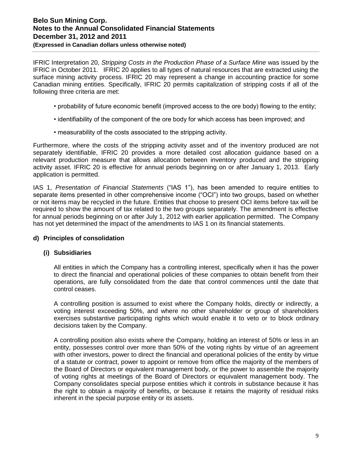**(Expressed in Canadian dollars unless otherwise noted)** 

IFRIC Interpretation 20, *Stripping Costs in the Production Phase of a Surface Mine* was issued by the IFRIC in October 2011. IFRIC 20 applies to all types of natural resources that are extracted using the surface mining activity process. IFRIC 20 may represent a change in accounting practice for some Canadian mining entities. Specifically, IFRIC 20 permits capitalization of stripping costs if all of the following three criteria are met:

- probability of future economic benefit (improved access to the ore body) flowing to the entity;
- identifiability of the component of the ore body for which access has been improved; and
- measurability of the costs associated to the stripping activity.

Furthermore, where the costs of the stripping activity asset and of the inventory produced are not separately identifiable, IFRIC 20 provides a more detailed cost allocation guidance based on a relevant production measure that allows allocation between inventory produced and the stripping activity asset. IFRIC 20 is effective for annual periods beginning on or after January 1, 2013. Early application is permitted.

IAS 1, *Presentation of Financial Statements* ("IAS 1"), has been amended to require entities to separate items presented in other comprehensive income ("OCI") into two groups, based on whether or not items may be recycled in the future. Entities that choose to present OCI items before tax will be required to show the amount of tax related to the two groups separately. The amendment is effective for annual periods beginning on or after July 1, 2012 with earlier application permitted. The Company has not yet determined the impact of the amendments to IAS 1 on its financial statements.

## **d) Principles of consolidation**

## **(i) Subsidiaries**

All entities in which the Company has a controlling interest, specifically when it has the power to direct the financial and operational policies of these companies to obtain benefit from their operations, are fully consolidated from the date that control commences until the date that control ceases.

A controlling position is assumed to exist where the Company holds, directly or indirectly, a voting interest exceeding 50%, and where no other shareholder or group of shareholders exercises substantive participating rights which would enable it to veto or to block ordinary decisions taken by the Company.

A controlling position also exists where the Company, holding an interest of 50% or less in an entity, possesses control over more than 50% of the voting rights by virtue of an agreement with other investors, power to direct the financial and operational policies of the entity by virtue of a statute or contract, power to appoint or remove from office the majority of the members of the Board of Directors or equivalent management body, or the power to assemble the majority of voting rights at meetings of the Board of Directors or equivalent management body. The Company consolidates special purpose entities which it controls in substance because it has the right to obtain a majority of benefits, or because it retains the majority of residual risks inherent in the special purpose entity or its assets.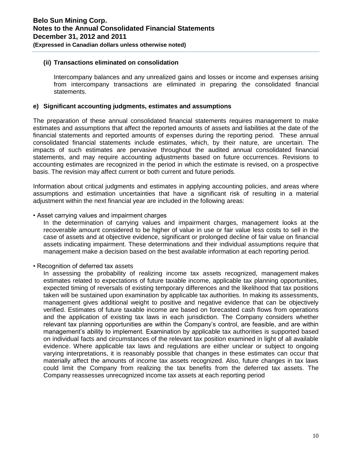## **(Expressed in Canadian dollars unless otherwise noted)**

#### **(ii) Transactions eliminated on consolidation**

Intercompany balances and any unrealized gains and losses or income and expenses arising from intercompany transactions are eliminated in preparing the consolidated financial statements.

### **e) Significant accounting judgments, estimates and assumptions**

The preparation of these annual consolidated financial statements requires management to make estimates and assumptions that affect the reported amounts of assets and liabilities at the date of the financial statements and reported amounts of expenses during the reporting period. These annual consolidated financial statements include estimates, which, by their nature, are uncertain. The impacts of such estimates are pervasive throughout the audited annual consolidated financial statements, and may require accounting adjustments based on future occurrences. Revisions to accounting estimates are recognized in the period in which the estimate is revised, on a prospective basis. The revision may affect current or both current and future periods.

Information about critical judgments and estimates in applying accounting policies, and areas where assumptions and estimation uncertainties that have a significant risk of resulting in a material adjustment within the next financial year are included in the following areas:

#### • Asset carrying values and impairment charges

In the determination of carrying values and impairment charges, management looks at the recoverable amount considered to be higher of value in use or fair value less costs to sell in the case of assets and at objective evidence, significant or prolonged decline of fair value on financial assets indicating impairment. These determinations and their individual assumptions require that management make a decision based on the best available information at each reporting period.

### • Recognition of deferred tax assets

In assessing the probability of realizing income tax assets recognized, management makes estimates related to expectations of future taxable income, applicable tax planning opportunities, expected timing of reversals of existing temporary differences and the likelihood that tax positions taken will be sustained upon examination by applicable tax authorities. In making its assessments, management gives additional weight to positive and negative evidence that can be objectively verified. Estimates of future taxable income are based on forecasted cash flows from operations and the application of existing tax laws in each jurisdiction. The Company considers whether relevant tax planning opportunities are within the Company's control, are feasible, and are within management's ability to implement. Examination by applicable tax authorities is supported based on individual facts and circumstances of the relevant tax position examined in light of all available evidence. Where applicable tax laws and regulations are either unclear or subject to ongoing varying interpretations, it is reasonably possible that changes in these estimates can occur that materially affect the amounts of income tax assets recognized. Also, future changes in tax laws could limit the Company from realizing the tax benefits from the deferred tax assets. The Company reassesses unrecognized income tax assets at each reporting period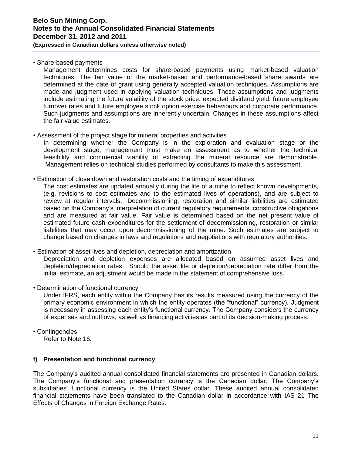**(Expressed in Canadian dollars unless otherwise noted)** 

### • Share-based payments

Management determines costs for share-based payments using market-based valuation techniques. The fair value of the market-based and performance-based share awards are determined at the date of grant using generally accepted valuation techniques. Assumptions are made and judgment used in applying valuation techniques. These assumptions and judgments include estimating the future volatility of the stock price, expected dividend yield, future employee turnover rates and future employee stock option exercise behaviours and corporate performance. Such judgments and assumptions are inherently uncertain. Changes in these assumptions affect the fair value estimates.

## • Assessment of the project stage for mineral properties and activities

In determining whether the Company is in the exploration and evaluation stage or the development stage, management must make an assessment as to whether the technical feasibility and commercial viability of extracting the mineral resource are demonstrable. Management relies on technical studies performed by consultants to make this assessment.

• Estimation of close down and restoration costs and the timing of expenditures

The cost estimates are updated annually during the life of a mine to reflect known developments, (e.g. revisions to cost estimates and to the estimated lives of operations), and are subject to review at regular intervals. Decommissioning, restoration and similar liabilities are estimated based on the Company's interpretation of current regulatory requirements, constructive obligations and are measured at fair value. Fair value is determined based on the net present value of estimated future cash expenditures for the settlement of decommissioning, restoration or similar liabilities that may occur upon decommissioning of the mine. Such estimates are subject to change based on changes in laws and regulations and negotiations with regulatory authorities.

- Estimation of asset lives and depletion, depreciation and amortization Depreciation and depletion expenses are allocated based on assumed asset lives and depletion/depreciation rates. Should the asset life or depletion/depreciation rate differ from the initial estimate, an adjustment would be made in the statement of comprehensive loss.
- Determination of functional currency

Under IFRS, each entity within the Company has its results measured using the currency of the primary economic environment in which the entity operates (the "functional" currency). Judgment is necessary in assessing each entity's functional currency. The Company considers the currency of expenses and outflows, as well as financing activities as part of its decision-making process.

• Contingencies Refer to Note 16.

## **f) Presentation and functional currency**

The Company's audited annual consolidated financial statements are presented in Canadian dollars. The Company's functional and presentation currency is the Canadian dollar. The Company's subsidiaries' functional currency is the United States dollar. These audited annual consolidated financial statements have been translated to the Canadian dollar in accordance with IAS 21 The Effects of Changes in Foreign Exchange Rates.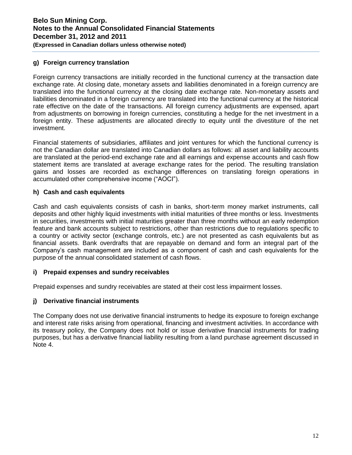## **g) Foreign currency translation**

Foreign currency transactions are initially recorded in the functional currency at the transaction date exchange rate. At closing date, monetary assets and liabilities denominated in a foreign currency are translated into the functional currency at the closing date exchange rate. Non-monetary assets and liabilities denominated in a foreign currency are translated into the functional currency at the historical rate effective on the date of the transactions. All foreign currency adjustments are expensed, apart from adjustments on borrowing in foreign currencies, constituting a hedge for the net investment in a foreign entity. These adjustments are allocated directly to equity until the divestiture of the net investment.

Financial statements of subsidiaries, affiliates and joint ventures for which the functional currency is not the Canadian dollar are translated into Canadian dollars as follows: all asset and liability accounts are translated at the period-end exchange rate and all earnings and expense accounts and cash flow statement items are translated at average exchange rates for the period. The resulting translation gains and losses are recorded as exchange differences on translating foreign operations in accumulated other comprehensive income ("AOCI").

## **h) Cash and cash equivalents**

Cash and cash equivalents consists of cash in banks, short-term money market instruments, call deposits and other highly liquid investments with initial maturities of three months or less. Investments in securities, investments with initial maturities greater than three months without an early redemption feature and bank accounts subject to restrictions, other than restrictions due to regulations specific to a country or activity sector (exchange controls, etc.) are not presented as cash equivalents but as financial assets. Bank overdrafts that are repayable on demand and form an integral part of the Company's cash management are included as a component of cash and cash equivalents for the purpose of the annual consolidated statement of cash flows.

## **i) Prepaid expenses and sundry receivables**

Prepaid expenses and sundry receivables are stated at their cost less impairment losses.

## **j) Derivative financial instruments**

The Company does not use derivative financial instruments to hedge its exposure to foreign exchange and interest rate risks arising from operational, financing and investment activities. In accordance with its treasury policy, the Company does not hold or issue derivative financial instruments for trading purposes, but has a derivative financial liability resulting from a land purchase agreement discussed in Note 4.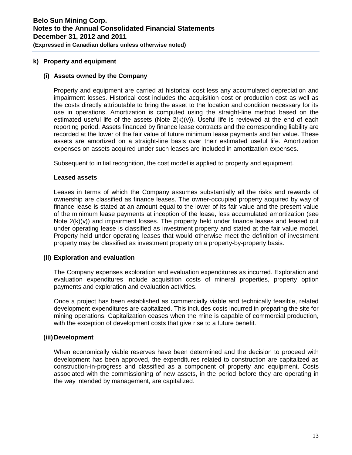## **k) Property and equipment**

## **(i) Assets owned by the Company**

Property and equipment are carried at historical cost less any accumulated depreciation and impairment losses. Historical cost includes the acquisition cost or production cost as well as the costs directly attributable to bring the asset to the location and condition necessary for its use in operations. Amortization is computed using the straight-line method based on the estimated useful life of the assets (Note  $2(k)(v)$ ). Useful life is reviewed at the end of each reporting period. Assets financed by finance lease contracts and the corresponding liability are recorded at the lower of the fair value of future minimum lease payments and fair value. These assets are amortized on a straight-line basis over their estimated useful life. Amortization expenses on assets acquired under such leases are included in amortization expenses.

Subsequent to initial recognition, the cost model is applied to property and equipment.

### **Leased assets**

Leases in terms of which the Company assumes substantially all the risks and rewards of ownership are classified as finance leases. The owner-occupied property acquired by way of finance lease is stated at an amount equal to the lower of its fair value and the present value of the minimum lease payments at inception of the lease, less accumulated amortization (see Note 2(k)(v)) and impairment losses. The property held under finance leases and leased out under operating lease is classified as investment property and stated at the fair value model. Property held under operating leases that would otherwise meet the definition of investment property may be classified as investment property on a property-by-property basis.

### **(ii) Exploration and evaluation**

The Company expenses exploration and evaluation expenditures as incurred. Exploration and evaluation expenditures include acquisition costs of mineral properties, property option payments and exploration and evaluation activities.

Once a project has been established as commercially viable and technically feasible, related development expenditures are capitalized. This includes costs incurred in preparing the site for mining operations. Capitalization ceases when the mine is capable of commercial production, with the exception of development costs that give rise to a future benefit.

### **(iii)Development**

When economically viable reserves have been determined and the decision to proceed with development has been approved, the expenditures related to construction are capitalized as construction-in-progress and classified as a component of property and equipment. Costs associated with the commissioning of new assets, in the period before they are operating in the way intended by management, are capitalized.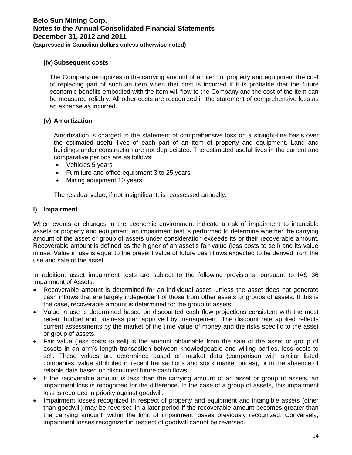## **(iv)Subsequent costs**

The Company recognizes in the carrying amount of an item of property and equipment the cost of replacing part of such an item when that cost is incurred if it is probable that the future economic benefits embodied with the item will flow to the Company and the cost of the item can be measured reliably. All other costs are recognized in the statement of comprehensive loss as an expense as incurred.

## **(v) Amortization**

Amortization is charged to the statement of comprehensive loss on a straight-line basis over the estimated useful lives of each part of an item of property and equipment. Land and buildings under construction are not depreciated. The estimated useful lives in the current and comparative periods are as follows:

- Vehicles 5 years
- Furniture and office equipment 3 to 25 years
- Mining equipment 10 years

The residual value, if not insignificant, is reassessed annually.

### **l) Impairment**

When events or changes in the economic environment indicate a risk of impairment to intangible assets or property and equipment, an impairment test is performed to determine whether the carrying amount of the asset or group of assets under consideration exceeds its or their recoverable amount. Recoverable amount is defined as the higher of an asset's fair value (less costs to sell) and its value in use. Value in use is equal to the present value of future cash flows expected to be derived from the use and sale of the asset.

In addition, asset impairment tests are subject to the following provisions, pursuant to IAS 36 Impairment of Assets:

- Recoverable amount is determined for an individual asset, unless the asset does not generate cash inflows that are largely independent of those from other assets or groups of assets. If this is the case, recoverable amount is determined for the group of assets.
- Value in use is determined based on discounted cash flow projections consistent with the most recent budget and business plan approved by management. The discount rate applied reflects current assessments by the market of the time value of money and the risks specific to the asset or group of assets.
- Fair value (less costs to sell) is the amount obtainable from the sale of the asset or group of assets in an arm's length transaction between knowledgeable and willing parties, less costs to sell. These values are determined based on market data (comparison with similar listed companies, value attributed in recent transactions and stock market prices), or in the absence of reliable data based on discounted future cash flows.
- If the recoverable amount is less than the carrying amount of an asset or group of assets, an impairment loss is recognized for the difference. In the case of a group of assets, this impairment loss is recorded in priority against goodwill.
- Impairment losses recognized in respect of property and equipment and intangible assets (other than goodwill) may be reversed in a later period if the recoverable amount becomes greater than the carrying amount, within the limit of impairment losses previously recognized. Conversely, impairment losses recognized in respect of goodwill cannot be reversed.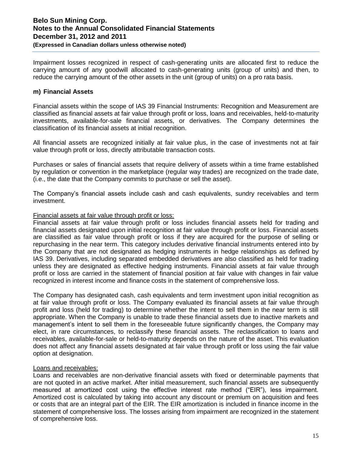Impairment losses recognized in respect of cash-generating units are allocated first to reduce the carrying amount of any goodwill allocated to cash-generating units (group of units) and then, to reduce the carrying amount of the other assets in the unit (group of units) on a pro rata basis.

## **m) Financial Assets**

Financial assets within the scope of IAS 39 Financial Instruments: Recognition and Measurement are classified as financial assets at fair value through profit or loss, loans and receivables, held-to-maturity investments, available-for-sale financial assets, or derivatives. The Company determines the classification of its financial assets at initial recognition.

All financial assets are recognized initially at fair value plus, in the case of investments not at fair value through profit or loss, directly attributable transaction costs.

Purchases or sales of financial assets that require delivery of assets within a time frame established by regulation or convention in the marketplace (regular way trades) are recognized on the trade date, (i.e., the date that the Company commits to purchase or sell the asset).

The Company's financial assets include cash and cash equivalents, sundry receivables and term investment.

### Financial assets at fair value through profit or loss:

Financial assets at fair value through profit or loss includes financial assets held for trading and financial assets designated upon initial recognition at fair value through profit or loss. Financial assets are classified as fair value through profit or loss if they are acquired for the purpose of selling or repurchasing in the near term. This category includes derivative financial instruments entered into by the Company that are not designated as hedging instruments in hedge relationships as defined by IAS 39. Derivatives, including separated embedded derivatives are also classified as held for trading unless they are designated as effective hedging instruments. Financial assets at fair value through profit or loss are carried in the statement of financial position at fair value with changes in fair value recognized in interest income and finance costs in the statement of comprehensive loss.

The Company has designated cash, cash equivalents and term investment upon initial recognition as at fair value through profit or loss. The Company evaluated its financial assets at fair value through profit and loss (held for trading) to determine whether the intent to sell them in the near term is still appropriate. When the Company is unable to trade these financial assets due to inactive markets and management's intent to sell them in the foreseeable future significantly changes, the Company may elect, in rare circumstances, to reclassify these financial assets. The reclassification to loans and receivables, available-for-sale or held-to-maturity depends on the nature of the asset. This evaluation does not affect any financial assets designated at fair value through profit or loss using the fair value option at designation.

### Loans and receivables:

Loans and receivables are non-derivative financial assets with fixed or determinable payments that are not quoted in an active market. After initial measurement, such financial assets are subsequently measured at amortized cost using the effective interest rate method ("EIR"), less impairment. Amortized cost is calculated by taking into account any discount or premium on acquisition and fees or costs that are an integral part of the EIR. The EIR amortization is included in finance income in the statement of comprehensive loss. The losses arising from impairment are recognized in the statement of comprehensive loss.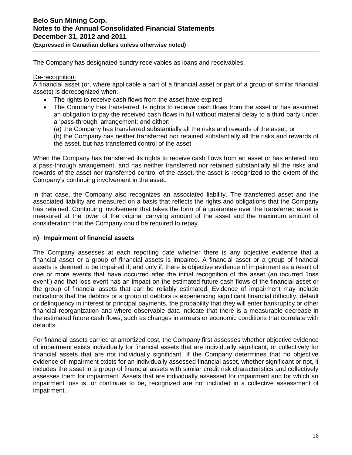The Company has designated sundry receivables as loans and receivables.

### De-recognition:

A financial asset (or, where applicable a part of a financial asset or part of a group of similar financial assets) is derecognized when:

- The rights to receive cash flows from the asset have expired
- The Company has transferred its rights to receive cash flows from the asset or has assumed an obligation to pay the received cash flows in full without material delay to a third party under a 'pass-through' arrangement; and either:
	- (a) the Company has transferred substantially all the risks and rewards of the asset; or

(b) the Company has neither transferred nor retained substantially all the risks and rewards of the asset, but has transferred control of the asset.

When the Company has transferred its rights to receive cash flows from an asset or has entered into a pass-through arrangement, and has neither transferred nor retained substantially all the risks and rewards of the asset nor transferred control of the asset, the asset is recognized to the extent of the Company's continuing involvement in the asset.

In that case, the Company also recognizes an associated liability. The transferred asset and the associated liability are measured on a basis that reflects the rights and obligations that the Company has retained. Continuing involvement that takes the form of a guarantee over the transferred asset is measured at the lower of the original carrying amount of the asset and the maximum amount of consideration that the Company could be required to repay.

## **n) Impairment of financial assets**

The Company assesses at each reporting date whether there is any objective evidence that a financial asset or a group of financial assets is impaired. A financial asset or a group of financial assets is deemed to be impaired if, and only if, there is objective evidence of impairment as a result of one or more events that have occurred after the initial recognition of the asset (an incurred ‗loss event') and that loss event has an impact on the estimated future cash flows of the financial asset or the group of financial assets that can be reliably estimated. Evidence of impairment may include indications that the debtors or a group of debtors is experiencing significant financial difficulty, default or delinquency in interest or principal payments, the probability that they will enter bankruptcy or other financial reorganization and where observable data indicate that there is a measurable decrease in the estimated future cash flows, such as changes in arrears or economic conditions that correlate with defaults.

For financial assets carried at amortized cost, the Company first assesses whether objective evidence of impairment exists individually for financial assets that are individually significant, or collectively for financial assets that are not individually significant. If the Company determines that no objective evidence of impairment exists for an individually assessed financial asset, whether significant or not, it includes the asset in a group of financial assets with similar credit risk characteristics and collectively assesses them for impairment. Assets that are individually assessed for impairment and for which an impairment loss is, or continues to be, recognized are not included in a collective assessment of impairment.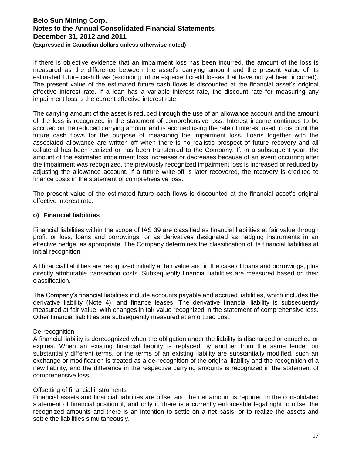If there is objective evidence that an impairment loss has been incurred, the amount of the loss is measured as the difference between the asset's carrying amount and the present value of its estimated future cash flows (excluding future expected credit losses that have not yet been incurred). The present value of the estimated future cash flows is discounted at the financial asset's original effective interest rate. If a loan has a variable interest rate, the discount rate for measuring any impairment loss is the current effective interest rate.

The carrying amount of the asset is reduced through the use of an allowance account and the amount of the loss is recognized in the statement of comprehensive loss. Interest income continues to be accrued on the reduced carrying amount and is accrued using the rate of interest used to discount the future cash flows for the purpose of measuring the impairment loss. Loans together with the associated allowance are written off when there is no realistic prospect of future recovery and all collateral has been realized or has been transferred to the Company. If, in a subsequent year, the amount of the estimated impairment loss increases or decreases because of an event occurring after the impairment was recognized, the previously recognized impairment loss is increased or reduced by adjusting the allowance account. If a future write-off is later recovered, the recovery is credited to finance costs in the statement of comprehensive loss.

The present value of the estimated future cash flows is discounted at the financial asset's original effective interest rate.

## **o) Financial liabilities**

Financial liabilities within the scope of IAS 39 are classified as financial liabilities at fair value through profit or loss, loans and borrowings, or as derivatives designated as hedging instruments in an effective hedge, as appropriate. The Company determines the classification of its financial liabilities at initial recognition.

All financial liabilities are recognized initially at fair value and in the case of loans and borrowings, plus directly attributable transaction costs. Subsequently financial liabilities are measured based on their classification.

The Company's financial liabilities include accounts payable and accrued liabilities, which includes the derivative liability (Note 4), and finance leases. The derivative financial liability is subsequently measured at fair value, with changes in fair value recognized in the statement of comprehensive loss. Other financial liabilities are subsequently measured at amortized cost.

### De-recognition

A financial liability is derecognized when the obligation under the liability is discharged or cancelled or expires. When an existing financial liability is replaced by another from the same lender on substantially different terms, or the terms of an existing liability are substantially modified, such an exchange or modification is treated as a de-recognition of the original liability and the recognition of a new liability, and the difference in the respective carrying amounts is recognized in the statement of comprehensive loss.

## Offsetting of financial instruments

Financial assets and financial liabilities are offset and the net amount is reported in the consolidated statement of financial position if, and only if, there is a currently enforceable legal right to offset the recognized amounts and there is an intention to settle on a net basis, or to realize the assets and settle the liabilities simultaneously.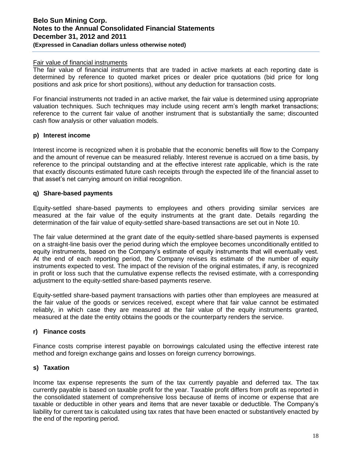### Fair value of financial instruments

The fair value of financial instruments that are traded in active markets at each reporting date is determined by reference to quoted market prices or dealer price quotations (bid price for long positions and ask price for short positions), without any deduction for transaction costs.

For financial instruments not traded in an active market, the fair value is determined using appropriate valuation techniques. Such techniques may include using recent arm's length market transactions; reference to the current fair value of another instrument that is substantially the same; discounted cash flow analysis or other valuation models.

## **p) Interest income**

Interest income is recognized when it is probable that the economic benefits will flow to the Company and the amount of revenue can be measured reliably. Interest revenue is accrued on a time basis, by reference to the principal outstanding and at the effective interest rate applicable, which is the rate that exactly discounts estimated future cash receipts through the expected life of the financial asset to that asset's net carrying amount on initial recognition.

## **q) Share-based payments**

Equity-settled share-based payments to employees and others providing similar services are measured at the fair value of the equity instruments at the grant date. Details regarding the determination of the fair value of equity-settled share-based transactions are set out in Note 10.

The fair value determined at the grant date of the equity-settled share-based payments is expensed on a straight-line basis over the period during which the employee becomes unconditionally entitled to equity instruments, based on the Company's estimate of equity instruments that will eventually vest. At the end of each reporting period, the Company revises its estimate of the number of equity instruments expected to vest. The impact of the revision of the original estimates, if any, is recognized in profit or loss such that the cumulative expense reflects the revised estimate, with a corresponding adjustment to the equity-settled share-based payments reserve.

Equity-settled share-based payment transactions with parties other than employees are measured at the fair value of the goods or services received, except where that fair value cannot be estimated reliably, in which case they are measured at the fair value of the equity instruments granted, measured at the date the entity obtains the goods or the counterparty renders the service.

## **r) Finance costs**

Finance costs comprise interest payable on borrowings calculated using the effective interest rate method and foreign exchange gains and losses on foreign currency borrowings.

## **s) Taxation**

Income tax expense represents the sum of the tax currently payable and deferred tax. The tax currently payable is based on taxable profit for the year. Taxable profit differs from profit as reported in the consolidated statement of comprehensive loss because of items of income or expense that are taxable or deductible in other years and items that are never taxable or deductible. The Company's liability for current tax is calculated using tax rates that have been enacted or substantively enacted by the end of the reporting period.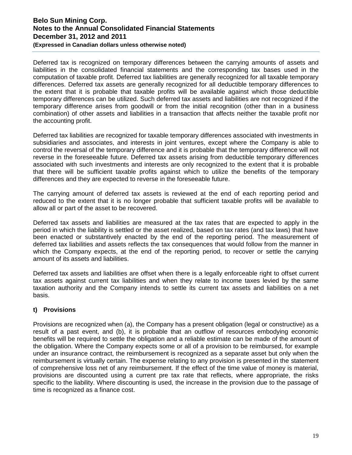Deferred tax is recognized on temporary differences between the carrying amounts of assets and

liabilities in the consolidated financial statements and the corresponding tax bases used in the computation of taxable profit. Deferred tax liabilities are generally recognized for all taxable temporary differences. Deferred tax assets are generally recognized for all deductible temporary differences to the extent that it is probable that taxable profits will be available against which those deductible temporary differences can be utilized. Such deferred tax assets and liabilities are not recognized if the temporary difference arises from goodwill or from the initial recognition (other than in a business combination) of other assets and liabilities in a transaction that affects neither the taxable profit nor the accounting profit.

Deferred tax liabilities are recognized for taxable temporary differences associated with investments in subsidiaries and associates, and interests in joint ventures, except where the Company is able to control the reversal of the temporary difference and it is probable that the temporary difference will not reverse in the foreseeable future. Deferred tax assets arising from deductible temporary differences associated with such investments and interests are only recognized to the extent that it is probable that there will be sufficient taxable profits against which to utilize the benefits of the temporary differences and they are expected to reverse in the foreseeable future.

The carrying amount of deferred tax assets is reviewed at the end of each reporting period and reduced to the extent that it is no longer probable that sufficient taxable profits will be available to allow all or part of the asset to be recovered.

Deferred tax assets and liabilities are measured at the tax rates that are expected to apply in the period in which the liability is settled or the asset realized, based on tax rates (and tax laws) that have been enacted or substantively enacted by the end of the reporting period. The measurement of deferred tax liabilities and assets reflects the tax consequences that would follow from the manner in which the Company expects, at the end of the reporting period, to recover or settle the carrying amount of its assets and liabilities.

Deferred tax assets and liabilities are offset when there is a legally enforceable right to offset current tax assets against current tax liabilities and when they relate to income taxes levied by the same taxation authority and the Company intends to settle its current tax assets and liabilities on a net basis.

## **t) Provisions**

Provisions are recognized when (a), the Company has a present obligation (legal or constructive) as a result of a past event, and (b), it is probable that an outflow of resources embodying economic benefits will be required to settle the obligation and a reliable estimate can be made of the amount of the obligation. Where the Company expects some or all of a provision to be reimbursed, for example under an insurance contract, the reimbursement is recognized as a separate asset but only when the reimbursement is virtually certain. The expense relating to any provision is presented in the statement of comprehensive loss net of any reimbursement. If the effect of the time value of money is material, provisions are discounted using a current pre tax rate that reflects, where appropriate, the risks specific to the liability. Where discounting is used, the increase in the provision due to the passage of time is recognized as a finance cost.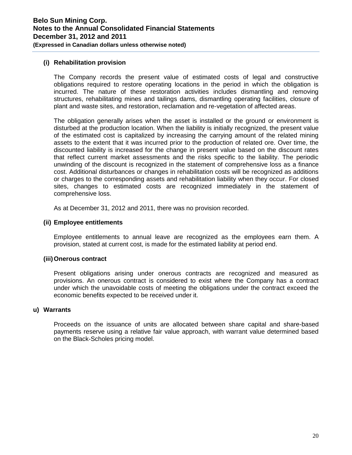## **(i) Rehabilitation provision**

The Company records the present value of estimated costs of legal and constructive obligations required to restore operating locations in the period in which the obligation is incurred. The nature of these restoration activities includes dismantling and removing structures, rehabilitating mines and tailings dams, dismantling operating facilities, closure of plant and waste sites, and restoration, reclamation and re-vegetation of affected areas.

The obligation generally arises when the asset is installed or the ground or environment is disturbed at the production location. When the liability is initially recognized, the present value of the estimated cost is capitalized by increasing the carrying amount of the related mining assets to the extent that it was incurred prior to the production of related ore. Over time, the discounted liability is increased for the change in present value based on the discount rates that reflect current market assessments and the risks specific to the liability. The periodic unwinding of the discount is recognized in the statement of comprehensive loss as a finance cost. Additional disturbances or changes in rehabilitation costs will be recognized as additions or charges to the corresponding assets and rehabilitation liability when they occur. For closed sites, changes to estimated costs are recognized immediately in the statement of comprehensive loss.

As at December 31, 2012 and 2011, there was no provision recorded.

### **(ii) Employee entitlements**

Employee entitlements to annual leave are recognized as the employees earn them. A provision, stated at current cost, is made for the estimated liability at period end.

### **(iii)Onerous contract**

Present obligations arising under onerous contracts are recognized and measured as provisions. An onerous contract is considered to exist where the Company has a contract under which the unavoidable costs of meeting the obligations under the contract exceed the economic benefits expected to be received under it.

#### **u) Warrants**

Proceeds on the issuance of units are allocated between share capital and share-based payments reserve using a relative fair value approach, with warrant value determined based on the Black-Scholes pricing model.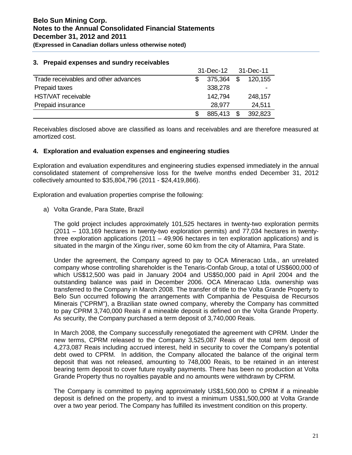## **3. Prepaid expenses and sundry receivables**

|                                      | 31-Dec-12 31-Dec-11 |         |
|--------------------------------------|---------------------|---------|
| Trade receivables and other advances | 375,364 \$          | 120,155 |
| Prepaid taxes                        | 338,278             | -       |
| HST/VAT receivable                   | 142,794             | 248,157 |
| Prepaid insurance                    | 28,977              | 24,511  |
|                                      | 885,413 \$          | 392,823 |

Receivables disclosed above are classified as loans and receivables and are therefore measured at amortized cost.

## **4. Exploration and evaluation expenses and engineering studies**

Exploration and evaluation expenditures and engineering studies expensed immediately in the annual consolidated statement of comprehensive loss for the twelve months ended December 31, 2012 collectively amounted to \$35,804,796 (2011 - \$24,419,866).

Exploration and evaluation properties comprise the following:

## a) Volta Grande, Para State, Brazil

The gold project includes approximately 101,525 hectares in twenty-two exploration permits (2011 – 103,169 hectares in twenty-two exploration permits) and 77,034 hectares in twentythree exploration applications (2011 – 49,906 hectares in ten exploration applications) and is situated in the margin of the Xingu river, some 60 km from the city of Altamira, Para State.

Under the agreement, the Company agreed to pay to OCA Mineracao Ltda., an unrelated company whose controlling shareholder is the Tenaris-Confab Group, a total of US\$600,000 of which US\$12,500 was paid in January 2004 and US\$50,000 paid in April 2004 and the outstanding balance was paid in December 2006. OCA Mineracao Ltda. ownership was transferred to the Company in March 2008. The transfer of title to the Volta Grande Property to Belo Sun occurred following the arrangements with Companhia de Pesquisa de Recursos Minerais ("CPRM"), a Brazilian state owned company, whereby the Company has committed to pay CPRM 3,740,000 Reais if a mineable deposit is defined on the Volta Grande Property. As security, the Company purchased a term deposit of 3,740,000 Reais.

In March 2008, the Company successfully renegotiated the agreement with CPRM. Under the new terms, CPRM released to the Company 3,525,087 Reais of the total term deposit of 4,273,087 Reais including accrued interest, held in security to cover the Company's potential debt owed to CPRM. In addition, the Company allocated the balance of the original term deposit that was not released, amounting to 748,000 Reais, to be retained in an interest bearing term deposit to cover future royalty payments. There has been no production at Volta Grande Property thus no royalties payable and no amounts were withdrawn by CPRM.

The Company is committed to paying approximately US\$1,500,000 to CPRM if a mineable deposit is defined on the property, and to invest a minimum US\$1,500,000 at Volta Grande over a two year period. The Company has fulfilled its investment condition on this property.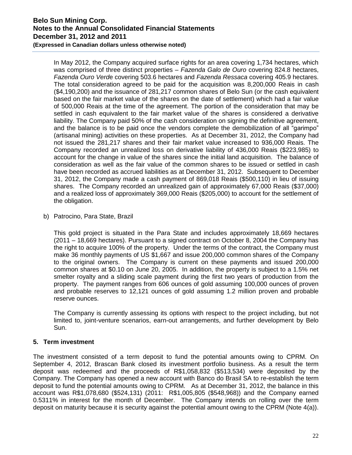**(Expressed in Canadian dollars unless otherwise noted)** 

In May 2012, the Company acquired surface rights for an area covering 1,734 hectares, which was comprised of three distinct properties – *Fazenda Galo de Ouro* covering 824.8 hectares, *Fazenda Ouro Verd*e covering 503.6 hectares and *Fazenda Ressaca* covering 405.9 hectares. The total consideration agreed to be paid for the acquisition was 8,200,000 Reais in cash (\$4,190,200) and the issuance of 281,217 common shares of Belo Sun (or the cash equivalent based on the fair market value of the shares on the date of settlement) which had a fair value of 500,000 Reais at the time of the agreement. The portion of the consideration that may be settled in cash equivalent to the fair market value of the shares is considered a derivative liability. The Company paid 50% of the cash consideration on signing the definitive agreement, and the balance is to be paid once the vendors complete the demobilization of all "garimpo" (artisanal mining) activities on these properties. As at December 31, 2012, the Company had not issued the 281,217 shares and their fair market value increased to 936,000 Reais. The Company recorded an unrealized loss on derivative liability of 436,000 Reais (\$223,985) to account for the change in value of the shares since the initial land acquisition. The balance of consideration as well as the fair value of the common shares to be issued or settled in cash have been recorded as accrued liabilities as at December 31, 2012. Subsequent to December 31, 2012, the Company made a cash payment of 869,018 Reais (\$500,110) in lieu of issuing shares. The Company recorded an unrealized gain of approximately 67,000 Reais (\$37,000) and a realized loss of approximately 369,000 Reais (\$205,000) to account for the settlement of the obligation.

b) Patrocino, Para State, Brazil

This gold project is situated in the Para State and includes approximately 18,669 hectares (2011 – 18,669 hectares). Pursuant to a signed contract on October 8, 2004 the Company has the right to acquire 100% of the property. Under the terms of the contract, the Company must make 36 monthly payments of US \$1,667 and issue 200,000 common shares of the Company to the original owners. The Company is current on these payments and issued 200,000 common shares at \$0.10 on June 20, 2005. In addition, the property is subject to a 1.5% net smelter royalty and a sliding scale payment during the first two years of production from the property. The payment ranges from 606 ounces of gold assuming 100,000 ounces of proven and probable reserves to 12,121 ounces of gold assuming 1.2 million proven and probable reserve ounces.

The Company is currently assessing its options with respect to the project including, but not limited to, joint-venture scenarios, earn-out arrangements, and further development by Belo Sun.

## **5. Term investment**

The investment consisted of a term deposit to fund the potential amounts owing to CPRM. On September 4, 2012, Brascan Bank closed its investment portfolio business. As a result the term deposit was redeemed and the proceeds of R\$1,058,832 (\$513,534) were deposited by the Company. The Company has opened a new account with Banco do Brasil SA to re-establish the term deposit to fund the potential amounts owing to CPRM. As at December 31, 2012, the balance in this account was R\$1,078,680 (\$524,131) (2011: R\$1,005,805 (\$548,968)) and the Company earned 0.5311% in interest for the month of December. The Company intends on rolling over the term deposit on maturity because it is security against the potential amount owing to the CPRM (Note 4(a)).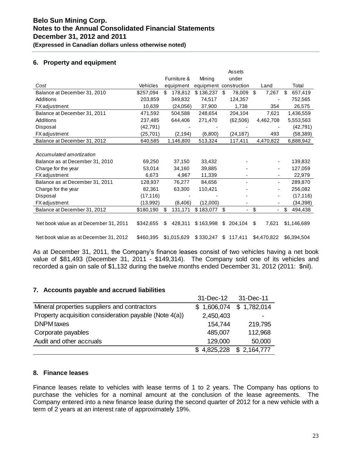## **6. Property and equipment**

|                                        |                                |    |             |                        |    | Assets         |    |                          |               |
|----------------------------------------|--------------------------------|----|-------------|------------------------|----|----------------|----|--------------------------|---------------|
|                                        | under<br>Furniture &<br>Mining |    |             |                        |    |                |    |                          |               |
| Cost                                   | Vehicles                       |    | equipment   | equipment construction |    |                |    | Land                     | Total         |
| Balance at December 31, 2010           | \$257,094                      | \$ | 178,812     | \$136,237              | \$ | 78,009         | \$ | 7,267                    | \$<br>657,419 |
| Additions                              | 203,859                        |    | 349,832     | 74,517                 |    | 124,357        |    |                          | 752,565       |
| <b>FX</b> adjustment                   | 10,639                         |    | (24, 056)   | 37,900                 |    | 1,738          |    | 354                      | 26,575        |
| Balance at December 31, 2011           | 471,592                        |    | 504,588     | 248,654                |    | 204,104        |    | 7,621                    | 1,436,559     |
| Additions                              | 237,485                        |    | 644,406     | 271,470                |    | (62, 506)      |    | 4,462,708                | 5,553,563     |
| Disposal                               | (42, 791)                      |    |             |                        |    |                |    |                          | (42, 791)     |
| <b>FX</b> adjustment                   | (25, 701)                      |    | (2, 194)    | (6,800)                |    | (24, 187)      |    | 493                      | (58, 389)     |
| Balance at December 31, 2012           | 640,585                        |    | 1,146,800   | 513,324                |    | 117,411        |    | 4,470,822                | 6,888,942     |
|                                        |                                |    |             |                        |    |                |    |                          |               |
| Accumulated amortization               |                                |    |             |                        |    |                |    |                          |               |
| Balance as at December 31, 2010        | 69,250                         |    | 37,150      | 33,432                 |    |                |    | ٠                        | 139,832       |
| Charge for the year                    | 53,014                         |    | 34,160      | 39,885                 |    |                |    | $\overline{\phantom{a}}$ | 127,059       |
| <b>FX</b> adjustment                   | 6,673                          |    | 4,967       | 11,339                 |    |                |    | $\overline{\phantom{a}}$ | 22,979        |
| Balance as at December 31, 2011        | 128,937                        |    | 76,277      | 84,656                 |    | ٠              |    | $\overline{\phantom{a}}$ | 289,870       |
| Charge for the year                    | 82,361                         |    | 63,300      | 110,421                |    |                |    | $\overline{\phantom{a}}$ | 256,082       |
| Disposal                               | (17, 116)                      |    |             |                        |    |                |    | $\overline{\phantom{0}}$ | (17, 116)     |
| <b>FX</b> adjustment                   | (13,992)                       |    | (8,406)     | (12,000)               |    |                |    | $\overline{\phantom{a}}$ | (34, 398)     |
| Balance at December 31, 2012           | \$180,190                      | \$ | 131,171     | \$183,077              | \$ | $\blacksquare$ | \$ | $\overline{\phantom{a}}$ | \$<br>494,438 |
|                                        |                                |    |             |                        |    |                |    |                          |               |
| Net book value as at December 31, 2011 | \$342,655                      | \$ | 428,311     | \$163,998              | \$ | 204,104        | \$ | 7,621                    | \$1,146,689   |
| Net book value as at December 31, 2012 | \$460,395                      |    | \$1,015,629 | \$330,247              | \$ | 117.411        |    | \$4.470.822              | \$6.394.504   |

As at December 31, 2011, the Company's finance leases consist of two vehicles having a net book value of \$81,493 (December 31, 2011 - \$149,314). The Company sold one of its vehicles and recorded a gain on sale of \$1,132 during the twelve months ended December 31, 2012 (2011: \$nil).

## **7. Accounts payable and accrued liabilities**

|                                                        | 31-Dec-12   | 31-Dec-11   |
|--------------------------------------------------------|-------------|-------------|
| Mineral properties suppliers and contractors           | \$1,606,074 | \$1,782,014 |
| Property acquisition consideration payable (Note 4(a)) | 2,450,403   |             |
| <b>DNPM</b> taxes                                      | 154,744     | 219,795     |
| Corporate payables                                     | 485,007     | 112,968     |
| Audit and other accruals                               | 129,000     | 50,000      |
|                                                        | \$4,825,228 | \$2,164,777 |

## **8. Finance leases**

Finance leases relate to vehicles with lease terms of 1 to 2 years. The Company has options to purchase the vehicles for a nominal amount at the conclusion of the lease agreements. The Company entered into a new finance lease during the second quarter of 2012 for a new vehicle with a term of 2 years at an interest rate of approximately 19%.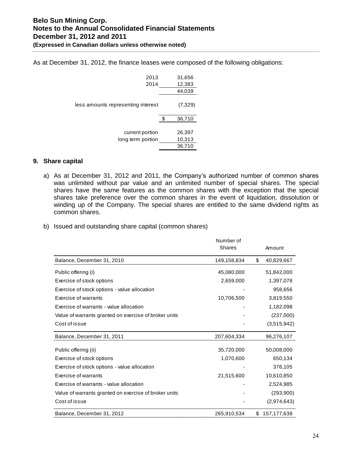As at December 31, 2012, the finance leases were composed of the following obligations:

| 2013                               | 31,656       |
|------------------------------------|--------------|
| 2014                               | 12,383       |
|                                    | 44,039       |
| less amounts representing interest | (7,329)      |
|                                    | \$<br>36,710 |
|                                    |              |
| current portion                    | 26,397       |
| long term portion                  | 10,313       |
|                                    | 36,710       |
|                                    |              |

## **9. Share capital**

- a) As at December 31, 2012 and 2011, the Company's authorized number of common shares was unlimited without par value and an unlimited number of special shares. The special shares have the same features as the common shares with the exception that the special shares take preference over the common shares in the event of liquidation, dissolution or winding up of the Company. The special shares are entitled to the same dividend rights as common shares.
- b) Issued and outstanding share capital (common shares)

|                                                       | Number of   |                   |
|-------------------------------------------------------|-------------|-------------------|
|                                                       | Shares      | Amount            |
| Balance, December 31, 2010                            | 149,158,834 | \$<br>40,829,667  |
| Public offering (i)                                   | 45,080,000  | 51,842,000        |
| Exercise of stock options                             | 2,659,000   | 1,397,078         |
| Exercise of stock options - value allocation          |             | 958,656           |
| Exercise of warrants                                  | 10,706,500  | 3,819,550         |
| Exercise of warrants - value allocation               |             | 1,182,098         |
| Value of warrants granted on exercise of broker units |             | (237,000)         |
| Cost of issue                                         |             | (3,515,942)       |
| Balance, December 31, 2011                            | 207,604,334 | 96,276,107        |
| Public offering (ii)                                  | 35,720,000  | 50,008,000        |
| Exercise of stock options                             | 1,070,600   | 650,134           |
| Exercise of stock options - value allocation          |             | 376,105           |
| Exercise of warrants                                  | 21,515,600  | 10,610,850        |
| Exercise of warrants - value allocation               |             | 2,524,985         |
| Value of warrants granted on exercise of broker units |             | (293,900)         |
| Cost of issue                                         |             | (2,974,643)       |
| Balance, December 31, 2012                            | 265,910,534 | \$<br>157,177,638 |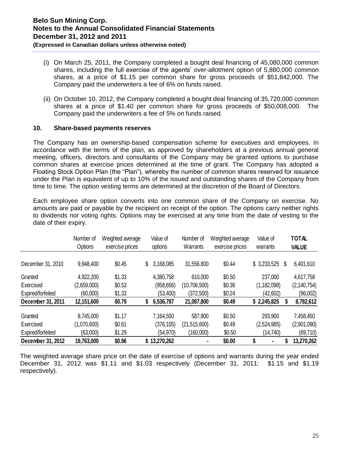- **(Expressed in Canadian dollars unless otherwise noted)** 
	- (i) On March 25, 2011, the Company completed a bought deal financing of 45,080,000 common shares, including the full exercise of the agents' over-allotment option of 5,880,000 common shares, at a price of \$1.15 per common share for gross proceeds of \$51,842,000. The Company paid the underwriters a fee of 6% on funds raised.
	- (ii) On October 10, 2012, the Company completed a bought deal financing of 35,720,000 common shares at a price of \$1.40 per common share for gross proceeds of \$50,008,000. The Company paid the underwriters a fee of 5% on funds raised.

## **10. Share-based payments reserves**

The Company has an ownership-based compensation scheme for executives and employees. In accordance with the terms of the plan, as approved by shareholders at a previous annual general meeting, officers, directors and consultants of the Company may be granted options to purchase common shares at exercise prices determined at the time of grant. The Company has adopted a Floating Stock Option Plan (the "Plan"), whereby the number of common shares reserved for issuance under the Plan is equivalent of up to 10% of the issued and outstanding shares of the Company from time to time. The option vesting terms are determined at the discretion of the Board of Directors.

Each employee share option converts into one common share of the Company on exercise. No amounts are paid or payable by the recipient on receipt of the option. The options carry neither rights to dividends nor voting rights. Options may be exercised at any time from the date of vesting to the date of their expiry.

|                   | Number of   | Weighted average |    | Value of     | Number of      | Weighted average | Value of      |    | <b>TOTAL</b>  |
|-------------------|-------------|------------------|----|--------------|----------------|------------------|---------------|----|---------------|
|                   | Options     | exercise prices  |    | options      | Warrants       | exercise prices  | warrants      |    | <b>VALUE</b>  |
|                   |             |                  |    |              |                |                  |               |    |               |
| December 31, 2010 | 9,948,400   | \$0.45           | \$ | 3,168,085    | 31,556,800     | \$0.44           | \$3,233,525   | \$ | 6,401,610     |
| Granted           | 4,922,200   | \$1.33           |    | 4,380,758    | 610,000        | \$0.50           | 237,000       |    | 4,617,758     |
| Exercised         | (2,659,000) | \$0.53           |    | (958, 656)   | (10,706,500)   | \$0.36           | (1, 182, 098) |    | (2, 140, 754) |
| Expired/forfeited | (60,000)    | \$1.33           |    | (53,400)     | (372, 500)     | \$0.24           | (42,602)      |    | (96,002)      |
| December 31, 2011 | 12,151,600  | \$0.79           | S  | 6,536,787    | 21,087,800     | \$0.49           | \$2,245,825   | S  | 8,782,612     |
| Granted           | 8,745,000   | \$1.17           |    | 7,164,550    | 587,800        | \$0.50           | 293,900       |    | 7,458,450     |
| Exercised         | (1,070,600) | \$0.61           |    | (376, 105)   | (21, 515, 600) | \$0.49           | (2,524,985)   |    | (2,901,090)   |
| Expired/forfeited | (63,000)    | \$1.29           |    | (54,970)     | 160,000        | \$0.50           | (14, 740)     |    | (69, 710)     |
| December 31, 2012 | 19,763,000  | \$0.96           |    | \$13,270,262 |                | \$0.00           | \$            | S  | 13,270,262    |

The weighted average share price on the date of exercise of options and warrants during the year ended December 31, 2012 was \$1.11 and \$1.03 respectively (December 31, 2011: \$1.15 and \$1.19 respectively).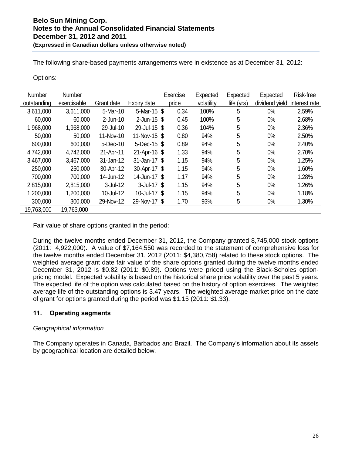The following share-based payments arrangements were in existence as at December 31, 2012:

## Options:

| Number      | Number      |              |                 | Exercise | Expected   | Expected   | Expected       | Risk-free     |
|-------------|-------------|--------------|-----------------|----------|------------|------------|----------------|---------------|
| outstanding | exercisable | Grant date   | Expiry date     | price    | volatility | life (yrs) | dividend vield | interest rate |
| 3,611,000   | 3,611,000   | 5-Mar-10     | 5-Mar-15 \$     | 0.34     | 100%       | 5          | 0%             | 2.59%         |
| 60,000      | 60,000      | $2$ -Jun-10  | $2$ -Jun-15 $$$ | 0.45     | 100%       | 5          | $0\%$          | 2.68%         |
| 1,968,000   | 1,968,000   | 29-Jul-10    | 29-Jul-15 \$    | 0.36     | 104%       | 5          | $0\%$          | 2.36%         |
| 50,000      | 50,000      | 11-Nov-10    | 11-Nov-15 \$    | 0.80     | 94%        | 5          | $0\%$          | 2.50%         |
| 600,000     | 600,000     | 5-Dec-10     | 5-Dec-15 \$     | 0.89     | 94%        | 5          | $0\%$          | 2.40%         |
| 4,742,000   | 4,742,000   | 21-Apr-11    | 21-Apr-16 \$    | 1.33     | 94%        | 5          | $0\%$          | 2.70%         |
| 3,467,000   | 3,467,000   | $31$ -Jan-12 | 31-Jan-17 \$    | 1.15     | 94%        | 5          | 0%             | 1.25%         |
| 250,000     | 250,000     | 30-Apr-12    | 30-Apr-17 \$    | 1.15     | 94%        | 5          | $0\%$          | 1.60%         |
| 700,000     | 700,000     | 14-Jun-12    | 14-Jun-17 \$    | 1.17     | 94%        | 5          | $0\%$          | 1.28%         |
| 2,815,000   | 2,815,000   | $3$ -Jul-12  | $3$ -Jul-17 $$$ | 1.15     | 94%        | 5          | $0\%$          | 1.26%         |
| 1,200,000   | 1,200,000   | 10-Jul-12    | 10-Jul-17 \$    | 1.15     | 94%        | 5          | $0\%$          | 1.18%         |
| 300,000     | 300,000     | 29-Nov-12    | 29-Nov-17 \$    | 1.70     | 93%        | 5          | $0\%$          | 1.30%         |
| 19,763,000  | 19,763,000  |              |                 |          |            |            |                |               |

Fair value of share options granted in the period:

During the twelve months ended December 31, 2012, the Company granted 8,745,000 stock options (2011: 4,922,000). A value of \$7,164,550 was recorded to the statement of comprehensive loss for the twelve months ended December 31, 2012 (2011: \$4,380,758) related to these stock options. The weighted average grant date fair value of the share options granted during the twelve months ended December 31, 2012 is \$0.82 (2011: \$0.89). Options were priced using the Black-Scholes optionpricing model. Expected volatility is based on the historical share price volatility over the past 5 years. The expected life of the option was calculated based on the history of option exercises. The weighted average life of the outstanding options is 3.47 years. The weighted average market price on the date of grant for options granted during the period was \$1.15 (2011: \$1.33).

## **11. Operating segments**

## *Geographical information*

The Company operates in Canada, Barbados and Brazil. The Company's information about its assets by geographical location are detailed below.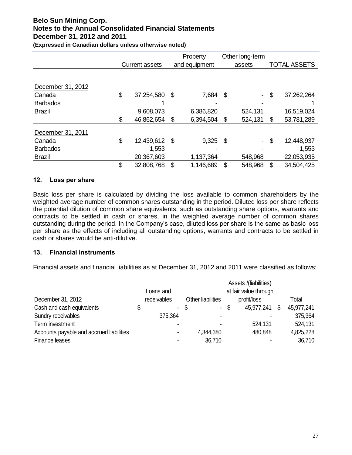**(Expressed in Canadian dollars unless otherwise noted)** 

|                   |                       | Property |               |      | Other long-term |                     |            |  |
|-------------------|-----------------------|----------|---------------|------|-----------------|---------------------|------------|--|
|                   | <b>Current assets</b> |          | and equipment |      | assets          | <b>TOTAL ASSETS</b> |            |  |
|                   |                       |          |               |      |                 |                     |            |  |
| December 31, 2012 |                       |          |               |      |                 |                     |            |  |
| Canada            | \$<br>37,254,580      | \$       | 7,684         | \$   |                 | \$                  | 37,262,264 |  |
| <b>Barbados</b>   |                       |          |               |      |                 |                     |            |  |
| <b>Brazil</b>     | 9,608,073             |          | 6,386,820     |      | 524,131         |                     | 16,519,024 |  |
|                   | \$<br>46,862,654      | \$       | 6,394,504     | \$   | 524,131         | \$                  | 53,781,289 |  |
| December 31, 2011 |                       |          |               |      |                 |                     |            |  |
| Canada            | \$<br>12,439,612      | -\$      | 9,325         | - \$ |                 | \$                  | 12,448,937 |  |
| <b>Barbados</b>   | 1,553                 |          |               |      |                 |                     | 1,553      |  |
| <b>Brazil</b>     | 20,367,603            |          | 1,137,364     |      | 548,968         |                     | 22,053,935 |  |
|                   | \$<br>32,808,768      | \$       | 1,146,689     | \$   | 548,968         | \$                  | 34,504,425 |  |

## **12. Loss per share**

Basic loss per share is calculated by dividing the loss available to common shareholders by the weighted average number of common shares outstanding in the period. Diluted loss per share reflects the potential dilution of common share equivalents, such as outstanding share options, warrants and contracts to be settled in cash or shares, in the weighted average number of common shares outstanding during the period. In the Company's case, diluted loss per share is the same as basic loss per share as the effects of including all outstanding options, warrants and contracts to be settled in cash or shares would be anti-dilutive.

## **13. Financial instruments**

Financial assets and financial liabilities as at December 31, 2012 and 2011 were classified as follows:

|                                          | Loans and            |                   |      | Assets /(liabilities)<br>at fair value through |   |            |
|------------------------------------------|----------------------|-------------------|------|------------------------------------------------|---|------------|
| December 31, 2012                        | receivables          | Other liabilities |      | profit/loss                                    |   | Total      |
| Cash and cash equivalents                | \$<br>$\blacksquare$ | \$<br>$\sim$      | - \$ | 45,977,241                                     | S | 45,977,241 |
| Sundry receivables                       | 375,364              | ۰                 |      |                                                |   | 375,364    |
| Term investment                          |                      |                   |      | 524,131                                        |   | 524,131    |
| Accounts payable and accrued liabilities | ٠                    | 4,344,380         |      | 480,848                                        |   | 4,825,228  |
| Finance leases                           |                      | 36,710            |      |                                                |   | 36,710     |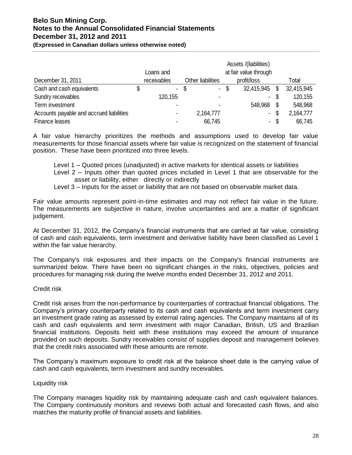**(Expressed in Canadian dollars unless otherwise noted)** 

|                                          | Loans and                 | Assets /(liabilities)<br>at fair value through |                    |      |            |
|------------------------------------------|---------------------------|------------------------------------------------|--------------------|------|------------|
| December 31, 2011                        | receivables               | Other liabilities                              | profit/loss        |      | Total      |
| Cash and cash equivalents                | $\mathbf{L}^{\text{max}}$ | S                                              | 32,415,945<br>- \$ | \$   | 32,415,945 |
| Sundry receivables                       | 120,155                   |                                                | ٠                  | S    | 120,155    |
| Term investment                          |                           |                                                | 548,968            |      | 548,968    |
| Accounts payable and accrued liabilities |                           | 2,164,777                                      | $\blacksquare$     | S    | 2,164,777  |
| Finance leases                           |                           | 66,745                                         | ۰.                 | - \$ | 66,745     |

A fair value hierarchy prioritizes the methods and assumptions used to develop fair value measurements for those financial assets where fair value is recognized on the statement of financial position. These have been prioritized into three levels.

Level 1 – Quoted prices (unadjusted) in active markets for identical assets or liabilities

Level 2 – Inputs other than quoted prices included in Level 1 that are observable for the asset or liability, either directly or indirectly

Level 3 – Inputs for the asset or liability that are not based on observable market data.

Fair value amounts represent point-in-time estimates and may not reflect fair value in the future. The measurements are subjective in nature, involve uncertainties and are a matter of significant judgement.

At December 31, 2012, the Company's financial instruments that are carried at fair value, consisting of cash and cash equivalents, term investment and derivative liability have been classified as Level 1 within the fair value hierarchy.

The Company's risk exposures and their impacts on the Company's financial instruments are summarized below. There have been no significant changes in the risks, objectives, policies and procedures for managing risk during the twelve months ended December 31, 2012 and 2011.

### Credit risk

Credit risk arises from the non-performance by counterparties of contractual financial obligations. The Company's primary counterparty related to its cash and cash equivalents and term investment carry an investment grade rating as assessed by external rating agencies. The Company maintains all of its cash and cash equivalents and term investment with major Canadian, British, US and Brazilian financial institutions. Deposits held with these institutions may exceed the amount of insurance provided on such deposits. Sundry receivables consist of supplies deposit and management believes that the credit risks associated with these amounts are remote.

The Company's maximum exposure to credit risk at the balance sheet date is the carrying value of cash and cash equivalents, term investment and sundry receivables.

### Liquidity risk

The Company manages liquidity risk by maintaining adequate cash and cash equivalent balances. The Company continuously monitors and reviews both actual and forecasted cash flows, and also matches the maturity profile of financial assets and liabilities.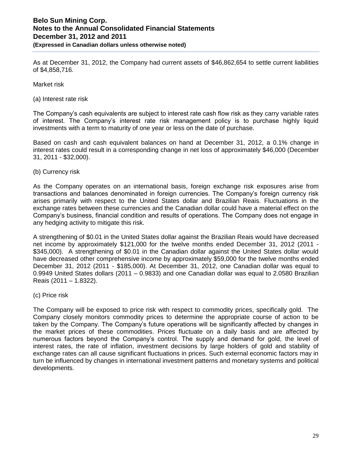**(Expressed in Canadian dollars unless otherwise noted)** 

As at December 31, 2012, the Company had current assets of \$46,862,654 to settle current liabilities of \$4,858,716.

Market risk

(a) Interest rate risk

The Company's cash equivalents are subject to interest rate cash flow risk as they carry variable rates of interest. The Company's interest rate risk management policy is to purchase highly liquid investments with a term to maturity of one year or less on the date of purchase.

Based on cash and cash equivalent balances on hand at December 31, 2012, a 0.1% change in interest rates could result in a corresponding change in net loss of approximately \$46,000 (December 31, 2011 - \$32,000).

(b) Currency risk

As the Company operates on an international basis, foreign exchange risk exposures arise from transactions and balances denominated in foreign currencies. The Company's foreign currency risk arises primarily with respect to the United States dollar and Brazilian Reais. Fluctuations in the exchange rates between these currencies and the Canadian dollar could have a material effect on the Company's business, financial condition and results of operations. The Company does not engage in any hedging activity to mitigate this risk.

A strengthening of \$0.01 in the United States dollar against the Brazilian Reais would have decreased net income by approximately \$121,000 for the twelve months ended December 31, 2012 (2011 - \$345,000). A strengthening of \$0.01 in the Canadian dollar against the United States dollar would have decreased other comprehensive income by approximately \$59,000 for the twelve months ended December 31, 2012 (2011 - \$185,000). At December 31, 2012, one Canadian dollar was equal to 0.9949 United States dollars (2011 – 0.9833) and one Canadian dollar was equal to 2.0580 Brazilian Reais (2011 – 1.8322).

(c) Price risk

The Company will be exposed to price risk with respect to commodity prices, specifically gold. The Company closely monitors commodity prices to determine the appropriate course of action to be taken by the Company. The Company's future operations will be significantly affected by changes in the market prices of these commodities. Prices fluctuate on a daily basis and are affected by numerous factors beyond the Company's control. The supply and demand for gold, the level of interest rates, the rate of inflation, investment decisions by large holders of gold and stability of exchange rates can all cause significant fluctuations in prices. Such external economic factors may in turn be influenced by changes in international investment patterns and monetary systems and political developments.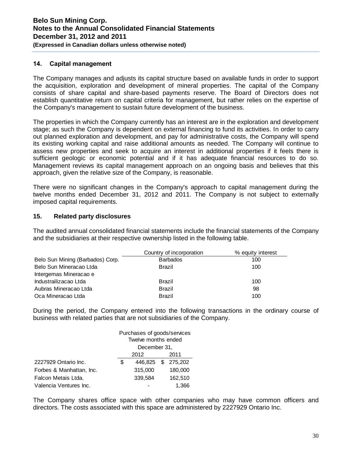## **14. Capital management**

The Company manages and adjusts its capital structure based on available funds in order to support the acquisition, exploration and development of mineral properties. The capital of the Company consists of share capital and share-based payments reserve. The Board of Directors does not establish quantitative return on capital criteria for management, but rather relies on the expertise of the Company's management to sustain future development of the business.

The properties in which the Company currently has an interest are in the exploration and development stage; as such the Company is dependent on external financing to fund its activities. In order to carry out planned exploration and development, and pay for administrative costs, the Company will spend its existing working capital and raise additional amounts as needed. The Company will continue to assess new properties and seek to acquire an interest in additional properties if it feels there is sufficient geologic or economic potential and if it has adequate financial resources to do so. Management reviews its capital management approach on an ongoing basis and believes that this approach, given the relative size of the Company, is reasonable.

There were no significant changes in the Company's approach to capital management during the twelve months ended December 31, 2012 and 2011. The Company is not subject to externally imposed capital requirements.

## **15. Related party disclosures**

The audited annual consolidated financial statements include the financial statements of the Company and the subsidiaries at their respective ownership listed in the following table.

|                                  | Country of incorporation | % equity interest |
|----------------------------------|--------------------------|-------------------|
| Belo Sun Mining (Barbados) Corp. | <b>Barbados</b>          | 100               |
| Belo Sun Mineracao Ltda          | <b>Brazil</b>            | 100               |
| Intergemas Mineracao e           |                          |                   |
| Industrailizacao Ltda            | <b>Brazil</b>            | 100               |
| Aubras Mineracao Ltda            | <b>Brazil</b>            | 98                |
| Oca Mineracao Ltda               | <b>Brazil</b>            | 100               |

During the period, the Company entered into the following transactions in the ordinary course of business with related parties that are not subsidiaries of the Company.

|                          |   | Purchases of goods/services<br>Twelve months ended |  |                    |  |
|--------------------------|---|----------------------------------------------------|--|--------------------|--|
|                          |   | December 31,                                       |  |                    |  |
|                          |   | 2012<br>2011                                       |  |                    |  |
| 2227929 Ontario Inc.     | S |                                                    |  | 446,825 \$ 275,202 |  |
| Forbes & Manhattan, Inc. |   | 315,000                                            |  | 180,000            |  |
| Falcon Metais Ltda.      |   | 339,584                                            |  | 162,510            |  |
| Valencia Ventures Inc.   |   |                                                    |  | 1.366              |  |

The Company shares office space with other companies who may have common officers and directors. The costs associated with this space are administered by 2227929 Ontario Inc.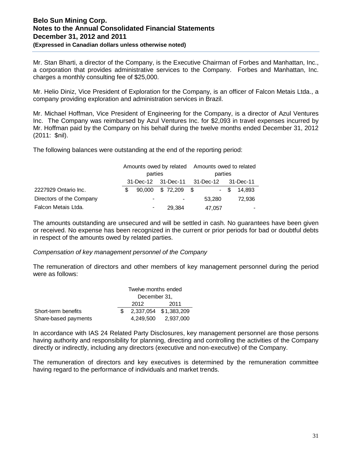Mr. Stan Bharti, a director of the Company, is the Executive Chairman of Forbes and Manhattan, Inc., a corporation that provides administrative services to the Company. Forbes and Manhattan, Inc. charges a monthly consulting fee of \$25,000.

Mr. Helio Diniz, Vice President of Exploration for the Company, is an officer of Falcon Metais Ltda., a company providing exploration and administration services in Brazil.

Mr. Michael Hoffman, Vice President of Engineering for the Company, is a director of Azul Ventures Inc. The Company was reimbursed by Azul Ventures Inc. for \$2,093 in travel expenses incurred by Mr. Hoffman paid by the Company on his behalf during the twelve months ended December 31, 2012 (2011: \$nil).

The following balances were outstanding at the end of the reporting period:

|                          |         |  |                                | Amounts owed by related Amounts owed to related |      |        |
|--------------------------|---------|--|--------------------------------|-------------------------------------------------|------|--------|
|                          | parties |  | parties                        |                                                 |      |        |
|                          |         |  |                                |                                                 |      |        |
| 2227929 Ontario Inc.     | £.      |  | $90,000 \quad $72,209 \quad $$ |                                                 | - \$ | 14.893 |
| Directors of the Company |         |  | $\blacksquare$                 | 53.280                                          |      | 72,936 |
| Falcon Metais Ltda.      |         |  | 29.384                         | 47,057                                          |      |        |

The amounts outstanding are unsecured and will be settled in cash. No guarantees have been given or received. No expense has been recognized in the current or prior periods for bad or doubtful debts in respect of the amounts owed by related parties.

### *Compensation of key management personnel of the Company*

The remuneration of directors and other members of key management personnel during the period were as follows:

|                      | Twelve months ended |              |                       |  |  |
|----------------------|---------------------|--------------|-----------------------|--|--|
|                      |                     | December 31, |                       |  |  |
|                      |                     | 2012<br>2011 |                       |  |  |
| Short-term benefits  |                     |              | 2,337,054 \$1,383,209 |  |  |
| Share-based payments |                     | 4.249.500    | 2,937,000             |  |  |

In accordance with IAS 24 Related Party Disclosures, key management personnel are those persons having authority and responsibility for planning, directing and controlling the activities of the Company directly or indirectly, including any directors (executive and non-executive) of the Company.

The remuneration of directors and key executives is determined by the remuneration committee having regard to the performance of individuals and market trends.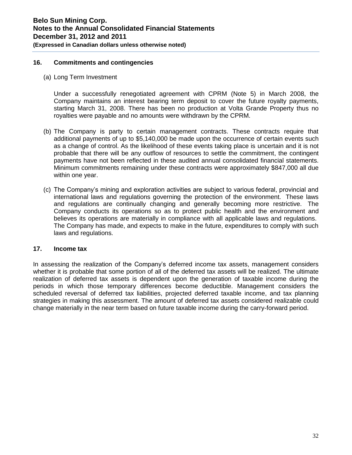**(Expressed in Canadian dollars unless otherwise noted)** 

### **16. Commitments and contingencies**

(a) Long Term Investment

Under a successfully renegotiated agreement with CPRM (Note 5) in March 2008, the Company maintains an interest bearing term deposit to cover the future royalty payments, starting March 31, 2008. There has been no production at Volta Grande Property thus no royalties were payable and no amounts were withdrawn by the CPRM.

- (b) The Company is party to certain management contracts. These contracts require that additional payments of up to \$5,140,000 be made upon the occurrence of certain events such as a change of control. As the likelihood of these events taking place is uncertain and it is not probable that there will be any outflow of resources to settle the commitment, the contingent payments have not been reflected in these audited annual consolidated financial statements. Minimum commitments remaining under these contracts were approximately \$847,000 all due within one year.
- (c) The Company's mining and exploration activities are subject to various federal, provincial and international laws and regulations governing the protection of the environment. These laws and regulations are continually changing and generally becoming more restrictive. The Company conducts its operations so as to protect public health and the environment and believes its operations are materially in compliance with all applicable laws and regulations. The Company has made, and expects to make in the future, expenditures to comply with such laws and regulations.

### **17. Income tax**

In assessing the realization of the Company's deferred income tax assets, management considers whether it is probable that some portion of all of the deferred tax assets will be realized. The ultimate realization of deferred tax assets is dependent upon the generation of taxable income during the periods in which those temporary differences become deductible. Management considers the scheduled reversal of deferred tax liabilities, projected deferred taxable income, and tax planning strategies in making this assessment. The amount of deferred tax assets considered realizable could change materially in the near term based on future taxable income during the carry-forward period.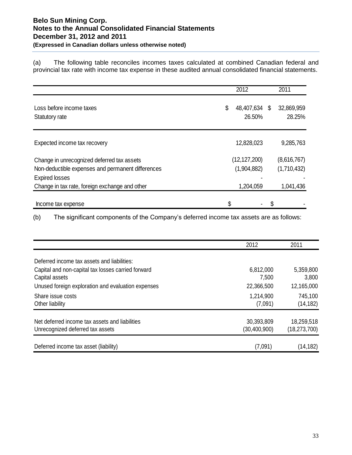(a) The following table reconciles incomes taxes calculated at combined Canadian federal and provincial tax rate with income tax expense in these audited annual consolidated financial statements.

|                                                                                                 | 2012                          |      | 2011                       |
|-------------------------------------------------------------------------------------------------|-------------------------------|------|----------------------------|
| Loss before income taxes<br>Statutory rate                                                      | \$<br>48,407,634<br>26.50%    | - \$ | 32,869,959<br>28.25%       |
| Expected income tax recovery                                                                    | 12,828,023                    |      | 9,285,763                  |
| Change in unrecognized deferred tax assets<br>Non-deductible expenses and permanent differences | (12, 127, 200)<br>(1,904,882) |      | (8,616,767)<br>(1,710,432) |
| <b>Expired losses</b>                                                                           |                               |      |                            |
| Change in tax rate, foreign exchange and other                                                  | 1,204,059                     |      | 1,041,436                  |
| Income tax expense                                                                              | \$                            |      |                            |

(b) The significant components of the Company's deferred income tax assets are as follows:

|                                                    | 2012           | 2011           |
|----------------------------------------------------|----------------|----------------|
| Deferred income tax assets and liabilities:        |                |                |
| Capital and non-capital tax losses carried forward | 6,812,000      | 5,359,800      |
| Capital assets                                     | 7,500          | 3,800          |
| Unused foreign exploration and evaluation expenses | 22,366,500     | 12,165,000     |
| Share issue costs                                  | 1,214,900      | 745,100        |
| Other liability                                    | (7,091)        | (14, 182)      |
| Net deferred income tax assets and liabilities     | 30,393,809     | 18,259,518     |
| Unrecognized deferred tax assets                   | (30, 400, 900) | (18, 273, 700) |
| Deferred income tax asset (liability)              | (7,091)        | (14,182)       |